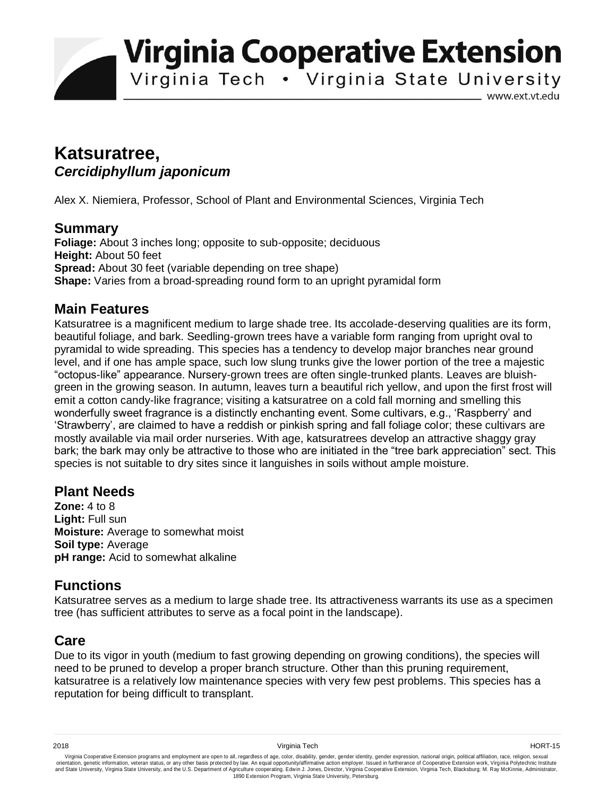**Virginia Cooperative Extension** 

Virginia Tech . Virginia State University

www.ext.vt.edu

# **Katsuratree,**  *Cercidiphyllum japonicum*

Alex X. Niemiera, Professor, School of Plant and Environmental Sciences, Virginia Tech

#### **Summary**

**Foliage:** About 3 inches long; opposite to sub-opposite; deciduous **Height:** About 50 feet **Spread:** About 30 feet (variable depending on tree shape) **Shape:** Varies from a broad-spreading round form to an upright pyramidal form

#### **Main Features**

Katsuratree is a magnificent medium to large shade tree. Its accolade-deserving qualities are its form, beautiful foliage, and bark. Seedling-grown trees have a variable form ranging from upright oval to pyramidal to wide spreading. This species has a tendency to develop major branches near ground level, and if one has ample space, such low slung trunks give the lower portion of the tree a majestic "octopus-like" appearance. Nursery-grown trees are often single-trunked plants. Leaves are bluishgreen in the growing season. In autumn, leaves turn a beautiful rich yellow, and upon the first frost will emit a cotton candy-like fragrance; visiting a katsuratree on a cold fall morning and smelling this wonderfully sweet fragrance is a distinctly enchanting event. Some cultivars, e.g., 'Raspberry' and 'Strawberry', are claimed to have a reddish or pinkish spring and fall foliage color; these cultivars are mostly available via mail order nurseries. With age, katsuratrees develop an attractive shaggy gray bark; the bark may only be attractive to those who are initiated in the "tree bark appreciation" sect. This species is not suitable to dry sites since it languishes in soils without ample moisture.

## **Plant Needs**

**Zone:** 4 to 8 **Light:** Full sun **Moisture:** Average to somewhat moist **Soil type:** Average **pH range:** Acid to somewhat alkaline

## **Functions**

Katsuratree serves as a medium to large shade tree. Its attractiveness warrants its use as a specimen tree (has sufficient attributes to serve as a focal point in the landscape).

## **Care**

Due to its vigor in youth (medium to fast growing depending on growing conditions), the species will need to be pruned to develop a proper branch structure. Other than this pruning requirement, katsuratree is a relatively low maintenance species with very few pest problems. This species has a reputation for being difficult to transplant.

Virginia Cooperative Extension programs and employment are open to all, regardless of age, color, disability, gender, gender identity, gender expression, national origin, political affiliation, race, religion, sexual وrie 1890 Extension Program, Virginia State University, Petersburg.